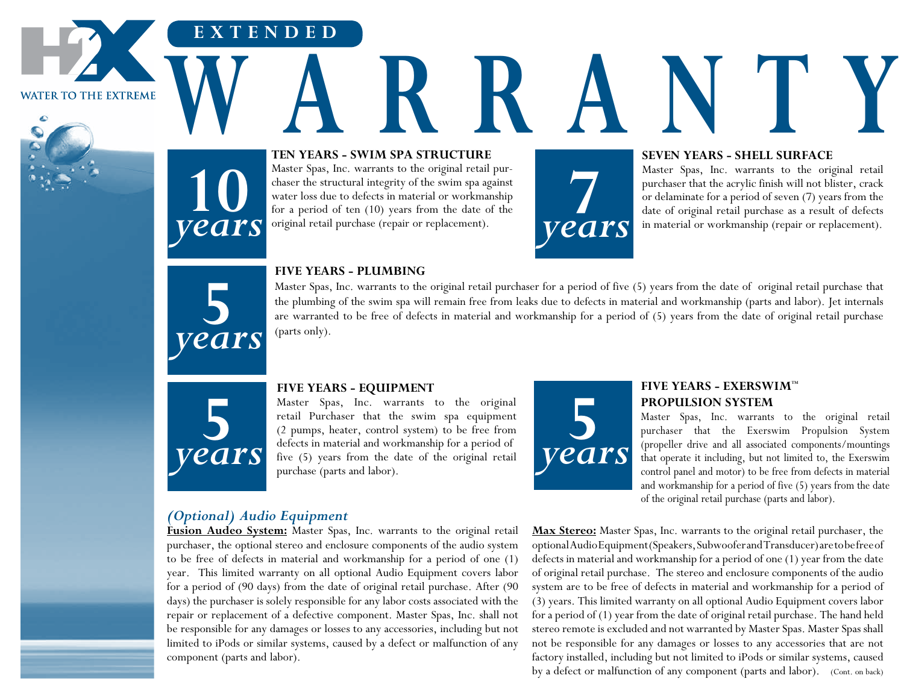**WATER TO THE EXTREME** 



# **TEN YEARS - SWIM SPA STRUCTURE** WARRANTY **READERS**

Master Spas, Inc. warrants to the original retail purchaser the structural integrity of the swim spa against water loss due to defects in material or workmanship for a period of ten (10) years from the date of the original retail purchase (repair or replacement).



#### **SEVEN YEARS - SHELL SURFACE**

Master Spas, Inc. warrants to the original retail purchaser that the acrylic finish will not blister, crack or delaminate for a period of seven (7) years from the date of original retail purchase as a result of defects in material or workmanship (repair or replacement). in material or workmanship (repair or replacement).



**10**

**EXTENDED**

*years*

#### **FIVE YEARS - PLUMBING**

Master Spas, Inc. warrants to the original retail purchaser for a period of five (5) years from the date of original retail purchase that the plumbing of the swim spa will remain free from leaks due to defects in material and workmanship (parts and labor). Jet internals are warranted to be free of defects in material and workmanship for a period of (5) years from the date of original retail purchase (parts only).



#### **FIVE YEARS - EQUIPMENT**

Master Spas, Inc. warrants to the original retail Purchaser that the swim spa equipment (2 pumps, heater, control system) to be free from defects in material and workmanship for a period of five (5) years from the date of the original retail purchase (parts and labor).



#### **FIVE YEARS - EXERSWIM™ PROPULSION SYSTEM**

Master Spas, Inc. warrants to the original retail purchaser that the Exerswim Propulsion System (propeller drive and all associated components/mountings that operate it including, but not limited to, the Exerswim control panel and motor) to be free from defects in material and workmanship for a period of five (5) years from the date of the original retail purchase (parts and labor).

#### *(Optional) Audio Equipment*

**Fusion Audeo System:** Master Spas, Inc. warrants to the original retail purchaser, the optional stereo and enclosure components of the audio system to be free of defects in material and workmanship for a period of one (1) year. This limited warranty on all optional Audio Equipment covers labor for a period of (90 days) from the date of original retail purchase. After (90 days) the purchaser is solely responsible for any labor costs associated with the repair or replacement of a defective component. Master Spas, Inc. shall not be responsible for any damages or losses to any accessories, including but not limited to iPods or similar systems, caused by a defect or malfunction of any component (parts and labor).

**Max Stereo:** Master Spas, Inc. warrants to the original retail purchaser, the optional Audio Equipment (Speakers, Subwoofer and Transducer) are to be free of defects in material and workmanship for a period of one (1) year from the date of original retail purchase. The stereo and enclosure components of the audio system are to be free of defects in material and workmanship for a period of (3) years. This limited warranty on all optional Audio Equipment covers labor for a period of (1) year from the date of original retail purchase. The hand held stereo remote is excluded and not warranted by Master Spas. Master Spas shall not be responsible for any damages or losses to any accessories that are not factory installed, including but not limited to iPods or similar systems, caused by a defect or malfunction of any component (parts and labor). (Cont. on back)